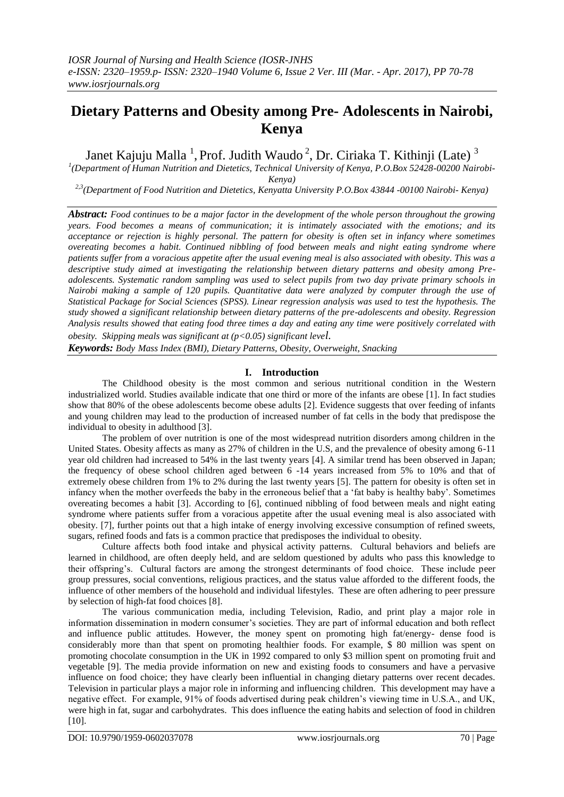# **Dietary Patterns and Obesity among Pre- Adolescents in Nairobi, Kenya**

Janet Kajuju Malla<sup>1</sup>, Prof. Judith Waudo<sup>2</sup>, Dr. Ciriaka T. Kithinji (Late)<sup>3</sup>

*1 (Department of Human Nutrition and Dietetics, Technical University of Kenya, P.O.Box 52428-00200 Nairobi-Kenya)*

*2,3(Department of Food Nutrition and Dietetics, Kenyatta University P.O.Box 43844 -00100 Nairobi- Kenya)*

*Abstract: Food continues to be a major factor in the development of the whole person throughout the growing years. Food becomes a means of communication; it is intimately associated with the emotions; and its acceptance or rejection is highly personal. The pattern for obesity is often set in infancy where sometimes overeating becomes a habit. Continued nibbling of food between meals and night eating syndrome where patients suffer from a voracious appetite after the usual evening meal is also associated with obesity. This was a descriptive study aimed at investigating the relationship between dietary patterns and obesity among Preadolescents. Systematic random sampling was used to select pupils from two day private primary schools in Nairobi making a sample of 120 pupils. Quantitative data were analyzed by computer through the use of Statistical Package for Social Sciences (SPSS). Linear regression analysis was used to test the hypothesis. The study showed a significant relationship between dietary patterns of the pre-adolescents and obesity. Regression Analysis results showed that eating food three times a day and eating any time were positively correlated with obesity. Skipping meals was significant at (p<0.05) significant level.*

*Keywords: Body Mass Index (BMI), Dietary Patterns, Obesity, Overweight, Snacking*

# **I. Introduction**

The Childhood obesity is the most common and serious nutritional condition in the Western industrialized world. Studies available indicate that one third or more of the infants are obese [1]. In fact studies show that 80% of the obese adolescents become obese adults [2]. Evidence suggests that over feeding of infants and young children may lead to the production of increased number of fat cells in the body that predispose the individual to obesity in adulthood [3].

The problem of over nutrition is one of the most widespread nutrition disorders among children in the United States. Obesity affects as many as 27% of children in the U.S, and the prevalence of obesity among 6-11 year old children had increased to 54% in the last twenty years [4]. A similar trend has been observed in Japan; the frequency of obese school children aged between 6 -14 years increased from 5% to 10% and that of extremely obese children from 1% to 2% during the last twenty years [5]. The pattern for obesity is often set in infancy when the mother overfeeds the baby in the erroneous belief that a 'fat baby is healthy baby'. Sometimes overeating becomes a habit [3]. According to [6], continued nibbling of food between meals and night eating syndrome where patients suffer from a voracious appetite after the usual evening meal is also associated with obesity. [7], further points out that a high intake of energy involving excessive consumption of refined sweets, sugars, refined foods and fats is a common practice that predisposes the individual to obesity.

Culture affects both food intake and physical activity patterns. Cultural behaviors and beliefs are learned in childhood, are often deeply held, and are seldom questioned by adults who pass this knowledge to their offspring's. Cultural factors are among the strongest determinants of food choice. These include peer group pressures, social conventions, religious practices, and the status value afforded to the different foods, the influence of other members of the household and individual lifestyles. These are often adhering to peer pressure by selection of high-fat food choices [8].

The various communication media, including Television, Radio, and print play a major role in information dissemination in modern consumer's societies. They are part of informal education and both reflect and influence public attitudes. However, the money spent on promoting high fat/energy- dense food is considerably more than that spent on promoting healthier foods. For example, \$ 80 million was spent on promoting chocolate consumption in the UK in 1992 compared to only \$3 million spent on promoting fruit and vegetable [9]. The media provide information on new and existing foods to consumers and have a pervasive influence on food choice; they have clearly been influential in changing dietary patterns over recent decades. Television in particular plays a major role in informing and influencing children. This development may have a negative effect. For example, 91% of foods advertised during peak children's viewing time in U.S.A., and UK, were high in fat, sugar and carbohydrates. This does influence the eating habits and selection of food in children [10].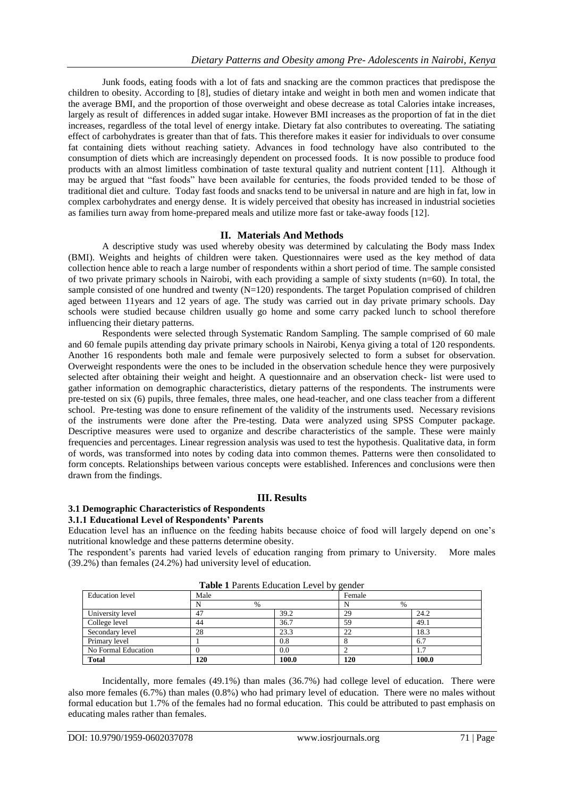Junk foods, eating foods with a lot of fats and snacking are the common practices that predispose the children to obesity. According to [8], studies of dietary intake and weight in both men and women indicate that the average BMI, and the proportion of those overweight and obese decrease as total Calories intake increases, largely as result of differences in added sugar intake. However BMI increases as the proportion of fat in the diet increases, regardless of the total level of energy intake. Dietary fat also contributes to overeating. The satiating effect of carbohydrates is greater than that of fats. This therefore makes it easier for individuals to over consume fat containing diets without reaching satiety. Advances in food technology have also contributed to the consumption of diets which are increasingly dependent on processed foods. It is now possible to produce food products with an almost limitless combination of taste textural quality and nutrient content [11]. Although it may be argued that "fast foods" have been available for centuries, the foods provided tended to be those of traditional diet and culture. Today fast foods and snacks tend to be universal in nature and are high in fat, low in complex carbohydrates and energy dense. It is widely perceived that obesity has increased in industrial societies as families turn away from home-prepared meals and utilize more fast or take-away foods [12].

# **II. Materials And Methods**

A descriptive study was used whereby obesity was determined by calculating the Body mass Index (BMI). Weights and heights of children were taken. Questionnaires were used as the key method of data collection hence able to reach a large number of respondents within a short period of time. The sample consisted of two private primary schools in Nairobi, with each providing a sample of sixty students (n=60). In total, the sample consisted of one hundred and twenty (N=120) respondents. The target Population comprised of children aged between 11years and 12 years of age. The study was carried out in day private primary schools. Day schools were studied because children usually go home and some carry packed lunch to school therefore influencing their dietary patterns.

Respondents were selected through Systematic Random Sampling. The sample comprised of 60 male and 60 female pupils attending day private primary schools in Nairobi, Kenya giving a total of 120 respondents. Another 16 respondents both male and female were purposively selected to form a subset for observation. Overweight respondents were the ones to be included in the observation schedule hence they were purposively selected after obtaining their weight and height. A questionnaire and an observation check- list were used to gather information on demographic characteristics, dietary patterns of the respondents. The instruments were pre-tested on six (6) pupils, three females, three males, one head-teacher, and one class teacher from a different school. Pre-testing was done to ensure refinement of the validity of the instruments used. Necessary revisions of the instruments were done after the Pre-testing. Data were analyzed using SPSS Computer package. Descriptive measures were used to organize and describe characteristics of the sample. These were mainly frequencies and percentages. Linear regression analysis was used to test the hypothesis. Qualitative data, in form of words, was transformed into notes by coding data into common themes. Patterns were then consolidated to form concepts. Relationships between various concepts were established. Inferences and conclusions were then drawn from the findings.

## **III. Results**

# **3.1 Demographic Characteristics of Respondents**

**3.1.1 Educational Level of Respondents' Parents** Education level has an influence on the feeding habits because choice of food will largely depend on one's

nutritional knowledge and these patterns determine obesity. The respondent's parents had varied levels of education ranging from primary to University. More males (39.2%) than females (24.2%) had university level of education.

| <b>Table I</b> Parents Education Level by gender |      |       |        |       |  |  |
|--------------------------------------------------|------|-------|--------|-------|--|--|
| <b>Education</b> level                           | Male |       | Female |       |  |  |
|                                                  | $\%$ |       | %      |       |  |  |
| University level                                 | 47   | 39.2  | 29     | 24.2  |  |  |
| College level                                    | 44   | 36.7  | 59     | 49.1  |  |  |
| Secondary level                                  | 28   | 23.3  | 22     | 18.3  |  |  |
| Primary level                                    |      | 0.8   |        | 6.7   |  |  |
| No Formal Education                              |      | 0.0   |        | 1.1   |  |  |
| <b>Total</b>                                     | 120  | 100.0 | 120    | 100.0 |  |  |

**Table 1 Decemts Education** 

Incidentally, more females (49.1%) than males (36.7%) had college level of education. There were also more females  $(6.7\%)$  than males  $(0.8\%)$  who had primary level of education. There were no males without formal education but 1.7% of the females had no formal education. This could be attributed to past emphasis on educating males rather than females.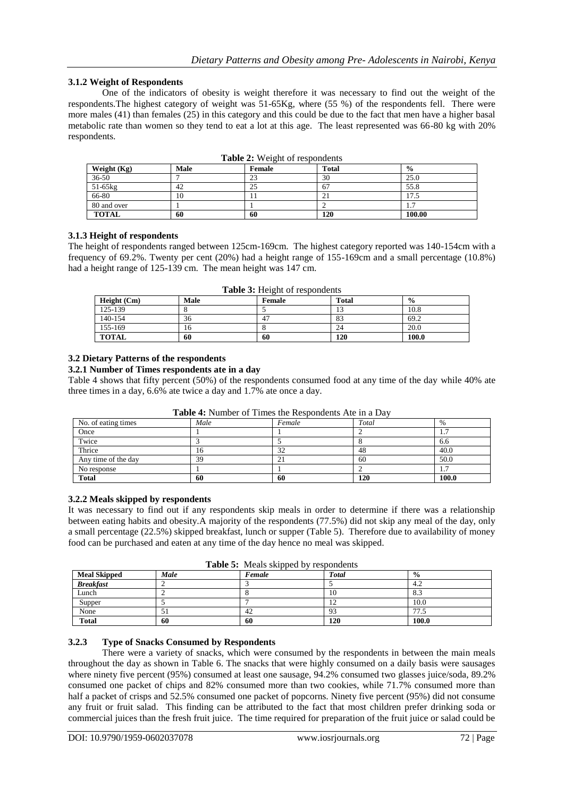# **3.1.2 Weight of Respondents**

One of the indicators of obesity is weight therefore it was necessary to find out the weight of the respondents.The highest category of weight was 51-65Kg, where (55 %) of the respondents fell. There were more males (41) than females (25) in this category and this could be due to the fact that men have a higher basal metabolic rate than women so they tend to eat a lot at this age. The least represented was 66-80 kg with 20% respondents.

| Weight (Kg)  | Male | Female | Total | $\frac{0}{0}$                   |
|--------------|------|--------|-------|---------------------------------|
| $36 - 50$    |      | 23     | 30    | 25.0                            |
| 51-65kg      | 42   | 25     | 67    | 55.8                            |
| 66-80        | 10   |        | ∠⊥    | 7.5                             |
| 80 and over  |      |        |       | $\overline{\phantom{0}}$<br>1.1 |
| <b>TOTAL</b> | 60   | 60     | 120   | 100.00                          |

|  |  |  | Table 2: Weight of respondents |
|--|--|--|--------------------------------|
|--|--|--|--------------------------------|

## **3.1.3 Height of respondents**

The height of respondents ranged between 125cm-169cm. The highest category reported was 140-154cm with a frequency of 69.2%. Twenty per cent (20%) had a height range of 155-169cm and a small percentage (10.8%) had a height range of 125-139 cm. The mean height was 147 cm.

| <b>rapic 3.</b> Height of respondents |             |        |              |               |  |
|---------------------------------------|-------------|--------|--------------|---------------|--|
| Height $(Cm)$                         | <b>Male</b> | Female | <b>Total</b> | $\frac{0}{0}$ |  |
| 125-139                               |             |        |              | 10.8          |  |
| 140-154                               | 36          |        | 83           | 69.2          |  |
| 155-169                               | 16          |        | 24           | 20.0          |  |
| TOTAL                                 | 60          | 60     | 120          | 100.0         |  |

**Table 3:** Height of respondents

## **3.2 Dietary Patterns of the respondents**

## **3.2.1 Number of Times respondents ate in a day**

Table 4 shows that fifty percent (50%) of the respondents consumed food at any time of the day while 40% ate three times in a day, 6.6% ate twice a day and 1.7% ate once a day.

| <b>Table 4.</b> INDITION OF FILING the INCSDONGCHES AIC III a Day |      |        |       |           |  |
|-------------------------------------------------------------------|------|--------|-------|-----------|--|
| No. of eating times                                               | Male | Female | Total | $\%$      |  |
| Once                                                              |      |        |       | 1.7       |  |
| Twice                                                             |      |        |       | 6.6       |  |
| Thrice                                                            | 16   | 32     | 48    | 40.0      |  |
| Any time of the day                                               | 39   |        | 60    | 50.0      |  |
| No response                                                       |      |        |       | -7<br>1.7 |  |
| <b>Total</b>                                                      | 60   | 60     | 120   | 100.0     |  |

**Table 4:** Number of Times the Respondents Ate in a Day

## **3.2.2 Meals skipped by respondents**

It was necessary to find out if any respondents skip meals in order to determine if there was a relationship between eating habits and obesity.A majority of the respondents (77.5%) did not skip any meal of the day, only a small percentage (22.5%) skipped breakfast, lunch or supper (Table 5). Therefore due to availability of money food can be purchased and eaten at any time of the day hence no meal was skipped.

**Table 5:** Meals skipped by respondents

| <b>Meal Skipped</b> | Male | Female | <b>Total</b>   | $\frac{0}{0}$ |
|---------------------|------|--------|----------------|---------------|
| <b>Breakfast</b>    |      |        |                | 4.2           |
| Lunch               |      |        | 10             | 8.3           |
| Supper              |      |        | $\overline{1}$ | 10.0          |
| None                |      | 42     | 93             | 7.3           |
| <b>Total</b>        | 60   | 60     | 120            | 100.0         |

## **3.2.3 Type of Snacks Consumed by Respondents**

There were a variety of snacks, which were consumed by the respondents in between the main meals throughout the day as shown in Table 6. The snacks that were highly consumed on a daily basis were sausages where ninety five percent (95%) consumed at least one sausage, 94.2% consumed two glasses juice/soda, 89.2% consumed one packet of chips and 82% consumed more than two cookies, while 71.7% consumed more than half a packet of crisps and 52.5% consumed one packet of popcorns. Ninety five percent (95%) did not consume any fruit or fruit salad. This finding can be attributed to the fact that most children prefer drinking soda or commercial juices than the fresh fruit juice. The time required for preparation of the fruit juice or salad could be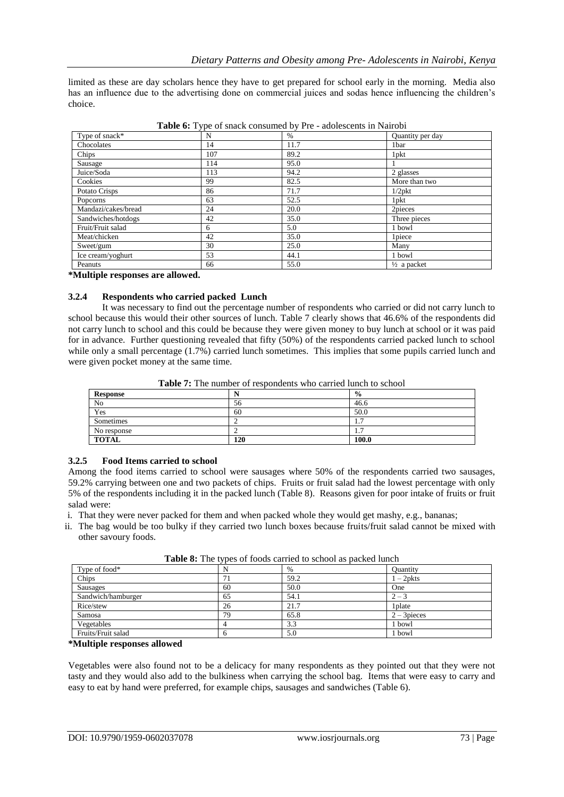limited as these are day scholars hence they have to get prepared for school early in the morning. Media also has an influence due to the advertising done on commercial juices and sodas hence influencing the children's choice.

| Type of snack*      | ┙╹<br>N | $\%$ | Quantity per day       |
|---------------------|---------|------|------------------------|
| Chocolates          | 14      | 11.7 | 1bar                   |
| Chips               | 107     | 89.2 | 1 pkt                  |
| Sausage             | 114     | 95.0 |                        |
| Juice/Soda          | 113     | 94.2 | 2 glasses              |
| Cookies             | 99      | 82.5 | More than two          |
| Potato Crisps       | 86      | 71.7 | $1/2$ pkt              |
| Popcorns            | 63      | 52.5 | 1 pkt                  |
| Mandazi/cakes/bread | 24      | 20.0 | 2pieces                |
| Sandwiches/hotdogs  | 42      | 35.0 | Three pieces           |
| Fruit/Fruit salad   | 6       | 5.0  | 1 bowl                 |
| Meat/chicken        | 42      | 35.0 | 1 piece                |
| Sweet/gum           | 30      | 25.0 | Many                   |
| Ice cream/yoghurt   | 53      | 44.1 | 1 bowl                 |
| Peanuts             | 66      | 55.0 | $\frac{1}{2}$ a packet |

**Table 6:** Type of snack consumed by Pre - adolescents in Nairobi

**\*Multiple responses are allowed.**

# **3.2.4 Respondents who carried packed Lunch**

It was necessary to find out the percentage number of respondents who carried or did not carry lunch to school because this would their other sources of lunch. Table 7 clearly shows that 46.6% of the respondents did not carry lunch to school and this could be because they were given money to buy lunch at school or it was paid for in advance. Further questioning revealed that fifty (50%) of the respondents carried packed lunch to school while only a small percentage (1.7%) carried lunch sometimes. This implies that some pupils carried lunch and were given pocket money at the same time.

**Table 7:** The number of respondents who carried lunch to school

| Response     | N   | $\frac{6}{9}$  |
|--------------|-----|----------------|
| No           | 56  | 46.6           |
| Yes          | 60  | 50.0           |
| Sometimes    |     | $\mathbf{1}$ . |
| No response  |     | $\cdot$        |
| <b>TOTAL</b> | 120 | 100.0          |

# **3.2.5 Food Items carried to school**

Among the food items carried to school were sausages where 50% of the respondents carried two sausages, 59.2% carrying between one and two packets of chips. Fruits or fruit salad had the lowest percentage with only 5% of the respondents including it in the packed lunch (Table 8). Reasons given for poor intake of fruits or fruit salad were:

- i. That they were never packed for them and when packed whole they would get mashy, e.g., bananas;
- ii. The bag would be too bulky if they carried two lunch boxes because fruits/fruit salad cannot be mixed with other savoury foods.

| Type of food*      | ╯  | $\%$ | <b>Quantity</b> |
|--------------------|----|------|-----------------|
| Chips              |    | 59.2 | $1-2$ pkts      |
| Sausages           | 60 | 50.0 | One             |
| Sandwich/hamburger | 65 | 54.1 | $2 - 3$         |
| Rice/stew          | 26 | 21.7 | 1 plate         |
| Samosa             | 79 | 65.8 | $2 - 3$ pieces  |
| Vegetables         |    | 3.3  | bowl            |
| Fruits/Fruit salad |    | 5.0  | bowl            |

**Table 8:** The types of foods carried to school as packed lunch

## **\*Multiple responses allowed**

Vegetables were also found not to be a delicacy for many respondents as they pointed out that they were not tasty and they would also add to the bulkiness when carrying the school bag. Items that were easy to carry and easy to eat by hand were preferred, for example chips, sausages and sandwiches (Table 6).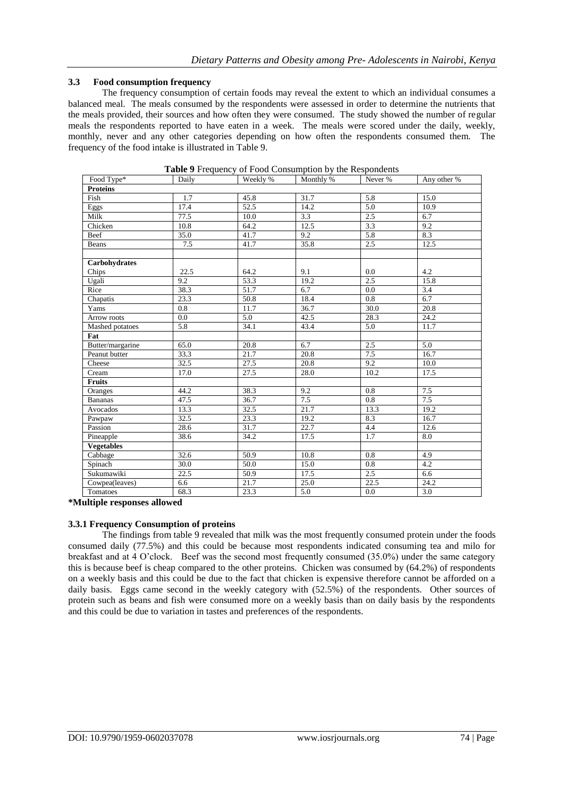# **3.3 Food consumption frequency**

The frequency consumption of certain foods may reveal the extent to which an individual consumes a balanced meal. The meals consumed by the respondents were assessed in order to determine the nutrients that the meals provided, their sources and how often they were consumed. The study showed the number of regular meals the respondents reported to have eaten in a week. The meals were scored under the daily, weekly, monthly, never and any other categories depending on how often the respondents consumed them. The frequency of the food intake is illustrated in Table 9.

| Food Type*        | Daily   | Weekly % | Monthly %         | Never %          | Any other %      |
|-------------------|---------|----------|-------------------|------------------|------------------|
| <b>Proteins</b>   |         |          |                   |                  |                  |
| Fish              | 1.7     | 45.8     | 31.7              | 5.8              | 15.0             |
| Eggs              | 17.4    | 52.5     | 14.2              | 5.0              | 10.9             |
| Milk              | 77.5    | 10.0     | 3.3               | 2.5              | 6.7              |
| Chicken           | 10.8    | 64.2     | 12.5              | 3.3              | 9.2              |
| Beef              | 35.0    | 41.7     | 9.2               | 5.8              | 8.3              |
| Beans             | 7.5     | 41.7     | 35.8              | 2.5              | 12.5             |
|                   |         |          |                   |                  |                  |
| Carbohydrates     |         |          |                   |                  |                  |
| Chips             | 22.5    | 64.2     | 9.1               | 0.0              | 4.2              |
| Ugali             | 9.2     | 53.3     | 19.2              | $\overline{2.5}$ | 15.8             |
| Rice              | 38.3    | 51.7     | 6.7               | 0.0              | 3.4              |
| Chapatis          | 23.3    | 50.8     | 18.4              | 0.8              | $\overline{6.7}$ |
| Yams              | 0.8     | 11.7     | 36.7              | 30.0             | 20.8             |
| Arrow roots       | $0.0\,$ | 5.0      | 42.5              | 28.3             | 24.2             |
| Mashed potatoes   | 5.8     | 34.1     | 43.4              | 5.0              | 11.7             |
| Fat               |         |          |                   |                  |                  |
| Butter/margarine  | 65.0    | 20.8     | 6.7               | 2.5              | 5.0              |
| Peanut butter     | 33.3    | 21.7     | 20.8              | 7.5              | 16.7             |
| Cheese            | 32.5    | 27.5     | 20.8              | 9.2              | 10.0             |
| Cream             | 17.0    | 27.5     | 28.0              | 10.2             | 17.5             |
| <b>Fruits</b>     |         |          |                   |                  |                  |
| Oranges           | 44.2    | 38.3     | 9.2               | 0.8              | 7.5              |
| <b>Bananas</b>    | 47.5    | 36.7     | 7.5               | 0.8              | 7.5              |
| Avocados          | 13.3    | 32.5     | $\overline{21.7}$ | 13.3             | 19.2             |
| Pawpaw            | 32.5    | 23.3     | 19.2              | 8.3              | 16.7             |
| Passion           | 28.6    | 31.7     | 22.7              | 4.4              | 12.6             |
| Pineapple         | 38.6    | 34.2     | 17.5              | 1.7              | 8.0              |
| <b>Vegetables</b> |         |          |                   |                  |                  |
| Cabbage           | 32.6    | 50.9     | 10.8              | 0.8              | 4.9              |
| Spinach           | 30.0    | 50.0     | 15.0              | 0.8              | 4.2              |
| Sukumawiki        | 22.5    | 50.9     | 17.5              | 2.5              | 6.6              |
| Cowpea(leaves)    | 6.6     | 21.7     | 25.0              | 22.5             | 24.2             |
| Tomatoes          | 68.3    | 23.3     | $\overline{5.0}$  | 0.0              | $\overline{3.0}$ |

**Table 9** Frequency of Food Consumption by the Respondents

**\*Multiple responses allowed**

## **3.3.1 Frequency Consumption of proteins**

The findings from table 9 revealed that milk was the most frequently consumed protein under the foods consumed daily (77.5%) and this could be because most respondents indicated consuming tea and milo for breakfast and at 4 O'clock. Beef was the second most frequently consumed (35.0%) under the same category this is because beef is cheap compared to the other proteins. Chicken was consumed by (64.2%) of respondents on a weekly basis and this could be due to the fact that chicken is expensive therefore cannot be afforded on a daily basis. Eggs came second in the weekly category with (52.5%) of the respondents. Other sources of protein such as beans and fish were consumed more on a weekly basis than on daily basis by the respondents and this could be due to variation in tastes and preferences of the respondents.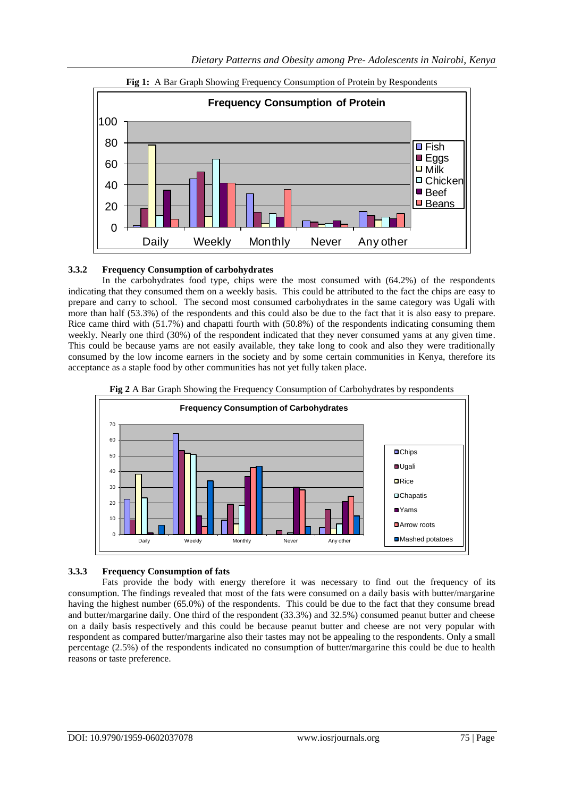



# **3.3.2 Frequency Consumption of carbohydrates**

In the carbohydrates food type, chips were the most consumed with (64.2%) of the respondents indicating that they consumed them on a weekly basis. This could be attributed to the fact the chips are easy to prepare and carry to school. The second most consumed carbohydrates in the same category was Ugali with more than half (53.3%) of the respondents and this could also be due to the fact that it is also easy to prepare. Rice came third with (51.7%) and chapatti fourth with (50.8%) of the respondents indicating consuming them weekly. Nearly one third (30%) of the respondent indicated that they never consumed yams at any given time. This could be because yams are not easily available, they take long to cook and also they were traditionally consumed by the low income earners in the society and by some certain communities in Kenya, therefore its acceptance as a staple food by other communities has not yet fully taken place.





# **3.3.3 Frequency Consumption of fats**

Fats provide the body with energy therefore it was necessary to find out the frequency of its consumption. The findings revealed that most of the fats were consumed on a daily basis with butter/margarine having the highest number (65.0%) of the respondents. This could be due to the fact that they consume bread and butter/margarine daily. One third of the respondent (33.3%) and 32.5%) consumed peanut butter and cheese on a daily basis respectively and this could be because peanut butter and cheese are not very popular with respondent as compared butter/margarine also their tastes may not be appealing to the respondents. Only a small percentage (2.5%) of the respondents indicated no consumption of butter/margarine this could be due to health reasons or taste preference.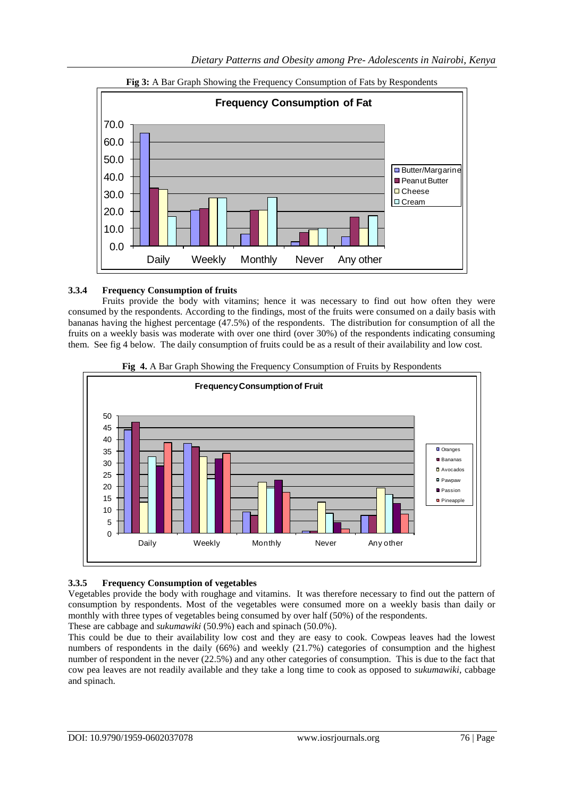



# **3.3.4 Frequency Consumption of fruits**

Fruits provide the body with vitamins; hence it was necessary to find out how often they were consumed by the respondents. According to the findings, most of the fruits were consumed on a daily basis with bananas having the highest percentage (47.5%) of the respondents. The distribution for consumption of all the fruits on a weekly basis was moderate with over one third (over 30%) of the respondents indicating consuming them. See fig 4 below. The daily consumption of fruits could be as a result of their availability and low cost.





# **3.3.5 Frequency Consumption of vegetables**

Vegetables provide the body with roughage and vitamins. It was therefore necessary to find out the pattern of consumption by respondents. Most of the vegetables were consumed more on a weekly basis than daily or monthly with three types of vegetables being consumed by over half (50%) of the respondents.

These are cabbage and *sukumawiki* (50.9%) each and spinach (50.0%).

This could be due to their availability low cost and they are easy to cook. Cowpeas leaves had the lowest numbers of respondents in the daily (66%) and weekly (21.7%) categories of consumption and the highest number of respondent in the never (22.5%) and any other categories of consumption. This is due to the fact that cow pea leaves are not readily available and they take a long time to cook as opposed to *sukumawiki*, cabbage and spinach.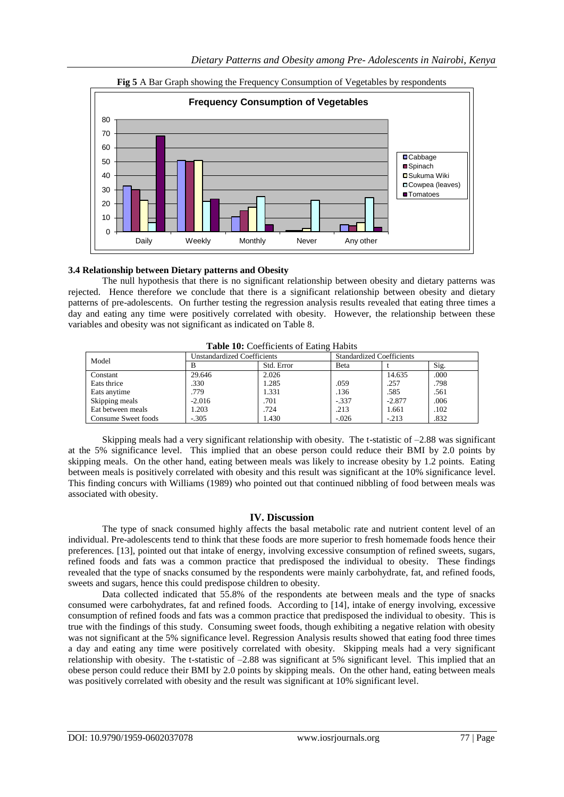

**Fig 5** A Bar Graph showing the Frequency Consumption of Vegetables by respondents

# **3.4 Relationship between Dietary patterns and Obesity**

The null hypothesis that there is no significant relationship between obesity and dietary patterns was rejected. Hence therefore we conclude that there is a significant relationship between obesity and dietary patterns of pre-adolescents. On further testing the regression analysis results revealed that eating three times a day and eating any time were positively correlated with obesity. However, the relationship between these variables and obesity was not significant as indicated on Table 8.

| <b>Table TV.</b> Coefficients of Eating Habits |                                    |            |                                  |          |      |
|------------------------------------------------|------------------------------------|------------|----------------------------------|----------|------|
| Model                                          | <b>Unstandardized Coefficients</b> |            | <b>Standardized Coefficients</b> |          |      |
|                                                |                                    | Std. Error | Beta                             |          | Sig. |
| Constant                                       | 29.646                             | 2.026      |                                  | 14.635   | .000 |
| Eats thrice                                    | .330                               | 1.285      | .059                             | .257     | .798 |
| Eats anytime                                   | .779                               | 1.331      | .136                             | .585     | .561 |
| Skipping meals                                 | $-2.016$                           | .701       | $-.337$                          | $-2.877$ | .006 |
| Eat between meals                              | 1.203                              | .724       | .213                             | 1.661    | .102 |
| Consume Sweet foods                            | $-.305$                            | 1.430      | $-.026$                          | $-.213$  | .832 |

**Table 10:** Coefficients of Eating Habits

Skipping meals had a very significant relationship with obesity. The t-statistic of –2.88 was significant at the 5% significance level. This implied that an obese person could reduce their BMI by 2.0 points by skipping meals. On the other hand, eating between meals was likely to increase obesity by 1.2 points. Eating between meals is positively correlated with obesity and this result was significant at the 10% significance level. This finding concurs with Williams (1989) who pointed out that continued nibbling of food between meals was associated with obesity.

# **IV. Discussion**

The type of snack consumed highly affects the basal metabolic rate and nutrient content level of an individual. Pre-adolescents tend to think that these foods are more superior to fresh homemade foods hence their preferences. [13], pointed out that intake of energy, involving excessive consumption of refined sweets, sugars, refined foods and fats was a common practice that predisposed the individual to obesity. These findings revealed that the type of snacks consumed by the respondents were mainly carbohydrate, fat, and refined foods, sweets and sugars, hence this could predispose children to obesity.

Data collected indicated that 55.8% of the respondents ate between meals and the type of snacks consumed were carbohydrates, fat and refined foods. According to [14], intake of energy involving, excessive consumption of refined foods and fats was a common practice that predisposed the individual to obesity. This is true with the findings of this study. Consuming sweet foods, though exhibiting a negative relation with obesity was not significant at the 5% significance level. Regression Analysis results showed that eating food three times a day and eating any time were positively correlated with obesity. Skipping meals had a very significant relationship with obesity. The t-statistic of –2.88 was significant at 5% significant level. This implied that an obese person could reduce their BMI by 2.0 points by skipping meals. On the other hand, eating between meals was positively correlated with obesity and the result was significant at 10% significant level.